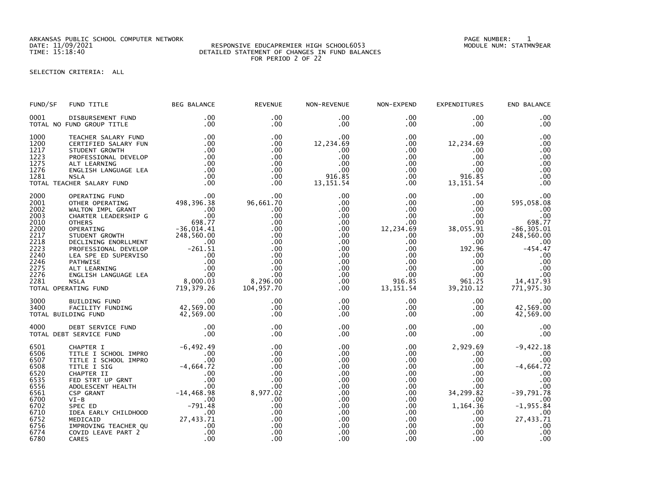ARKANSAS PUBLIC SCHOOL COMPUTER NETWORK PAGE NUMBER: 1

## DATE: 11/09/2021 RESPONSIVE EDUCAPREMIER HIGH SCHOOL6053 MODULE NUM: STATMN9EAR TIME: 15:18:40 DETAILED STATEMENT OF CHANGES IN FUND BALANCES FOR PERIOD 2 OF 22

SELECTION CRITERIA: ALL

| FUND/SF                                                                                                              | FUND TITLE                                                                                                                                                                                                                                                                                                                                          | <b>BEG BALANCE</b>                                                                                            | <b>REVENUE</b>                                                                                                          | NON-REVENUE                                                                                                                                                                              | NON-EXPEND                                                                                                                                                                           | <b>EXPENDITURES</b>                                                                                                                                                            | END BALANCE                                                                                                                                         |
|----------------------------------------------------------------------------------------------------------------------|-----------------------------------------------------------------------------------------------------------------------------------------------------------------------------------------------------------------------------------------------------------------------------------------------------------------------------------------------------|---------------------------------------------------------------------------------------------------------------|-------------------------------------------------------------------------------------------------------------------------|------------------------------------------------------------------------------------------------------------------------------------------------------------------------------------------|--------------------------------------------------------------------------------------------------------------------------------------------------------------------------------------|--------------------------------------------------------------------------------------------------------------------------------------------------------------------------------|-----------------------------------------------------------------------------------------------------------------------------------------------------|
| 0001                                                                                                                 | DISBURSEMENT FUND<br>TOTAL NO FUND GROUP TITLE                                                                                                                                                                                                                                                                                                      | .00<br>.00                                                                                                    | .00<br>$.00 \times$                                                                                                     | $.00 \,$<br>.00                                                                                                                                                                          | $.00 \,$<br>$.00 \,$                                                                                                                                                                 | .00<br>$.00 \,$                                                                                                                                                                | .00<br>.00                                                                                                                                          |
| 1000<br>1200<br>1217<br>1223<br>1275<br>1276<br>1281                                                                 | TEACHER SALARY FUND<br>CERTIFIED SALARY FUN<br>STUDENT GROWTH<br>PROFESSIONAL DEVELOP<br>ALT LEARNING<br>ENGLISH LANGUAGE LEA<br><b>NSLA</b><br>TOTAL TEACHER SALARY FUND                                                                                                                                                                           | .00<br>.00<br>.00<br>.00<br>.00<br>.00<br>.00<br>.00                                                          | .00<br>$.00 \,$<br>.00<br>.00<br>$.00 \,$<br>$.00 \times$<br>$.00 \,$<br>$.00 \,$                                       | $.00 \,$<br>12,234.69<br>.00<br>.00.<br>.00<br>.00<br>916.85<br>13, 151.54                                                                                                               | $.00 \,$<br>$.00 \,$<br>.00<br>$.00 \,$<br>$.00 \,$<br>.00<br>.00<br>$.00 \,$                                                                                                        | .00<br>12,234.69<br>.00<br>.00<br>$.00 \cdot$<br>.00<br>916.85<br>13, 151.54                                                                                                   | .00<br>.00<br>.00<br>.00<br>.00<br>.00<br>.00<br>.00                                                                                                |
| 2000<br>2001<br>2002<br>2003<br>2010<br>2200<br>2217<br>2218<br>2223<br>2240<br>2246<br>2275<br>2276<br>2281         | OPERATING FUND<br>OTHER OPERATING<br>WALTON IMPL GRANT<br>CHARTER LEADERSHIP G<br><b>OTHERS</b><br>TOTAL OPERATING FUND                                                                                                                                                                                                                             | $^{100}_{10}$<br>$^{17}_{47}$ G<br>$^{100}_{100}$<br>$^{100}_{100}$<br>$^{100}_{698.77}$<br>$^{100}_{114.41}$ | .00<br>96,661.70<br>.00<br>.00<br>.00<br>.00<br>.00<br>.00<br>.00<br>.00<br>.00<br>.00<br>.00<br>8,296.00<br>104,957.70 | $.00 \,$<br>$.00 \,$<br>$.00 \,$<br>$.00 \,$<br>$.00 \,$<br>$.00 \,$<br>$.00 \,$<br>$.00 \,$<br>.00 <sub>1</sub><br>$.00 \,$<br>$.00 \,$<br>$.00 \,$<br>$.00 \,$<br>$.00 \,$<br>$.00 \,$ | $.00 \,$<br>$.00 \,$<br>$.00 \,$<br>$.00 \times$<br>$.00 \,$<br>12,234.69<br>$.00 \,$<br>$.00 \,$<br>$.00 \,$<br>$.00\,$<br>$.00 \,$<br>$.00 \,$<br>$.00 \,$<br>916.85<br>13, 151.54 | $.00 \,$<br>$.00 \,$<br>$.00 \,$<br>$.00 \,$<br>$.00 \,$<br>38,055.91<br>$.00 \,$<br>$.00 \,$<br>192.96<br>$.00 \,$<br>$.00 \,$<br>$.00 \,$<br>$.00 \,$<br>961.25<br>39,210.12 | .00<br>595,058.08<br>.00<br>.00<br>698.77<br>$-86, 305.01$<br>248,560.00<br>.00<br>$-454.47$<br>.00<br>.00<br>.00<br>00<br>14, 417.93<br>771,975.30 |
| 3000<br>3400                                                                                                         | 00. 8UILDING FUND<br>FACILITY FUNDING 42,569.00<br>LDING FUND 42,569.00<br>TOTAL BUILDING FUND                                                                                                                                                                                                                                                      |                                                                                                               | .00<br>.00<br>.00                                                                                                       | $.00 \,$<br>$.00 \,$<br>$.00 \,$                                                                                                                                                         | $.00 \,$<br>$.00 \,$<br>$.00 \,$                                                                                                                                                     | $.00 \,$<br>$.00 \ \,$<br>$.00 \,$                                                                                                                                             | .00<br>42,569.00<br>42,569.00                                                                                                                       |
| 4000                                                                                                                 | DEBT SERVICE FUND<br>T SERVICE FUND<br>TOTAL DEBT SERVICE FUND                                                                                                                                                                                                                                                                                      | .00<br>.00                                                                                                    | .00<br>.00.                                                                                                             | $.00 \,$<br>$.00 \,$                                                                                                                                                                     | $.00 \,$<br>$.00 \,$                                                                                                                                                                 | $.00 \,$<br>$.00 \,$                                                                                                                                                           | .00<br>.00                                                                                                                                          |
| 6501<br>6506<br>6507<br>6508<br>6520<br>6535<br>6556<br>6561<br>6700<br>6702<br>6710<br>6752<br>6756<br>6774<br>6780 | -6,492.49<br>TITLE I SCHOOL IMPRO<br>TITLE I SCHOOL IMPRO<br>TITLE I SCHOOL IMPRO<br>TITLE I SIG<br>-4,664.72<br>CHAPTER II<br>FED STRT UP GRNT<br>ADOLESCENT HEALTH<br>CSP GRANT<br>CSP GRANT<br>TITLE ARILY CHILDHOOD<br>THE EARLY CHILDHOOD<br>THE EA<br>IDEA EARLY CHILDHOOD<br>MEDICAID<br>IMPROVING TEACHER QU<br>COVID LEAVE PART 2<br>CARES | .00<br>27,433.71<br>.00<br>.00<br>.00                                                                         | .00<br>.00.<br>.00<br>.00<br>.00<br>.00<br>.00<br>8,977.02<br>.00<br>.00<br>.00<br>.00<br>.00<br>.00<br>.00             | $.00 \,$<br>.00<br>.00<br>.00<br>.00<br>$.00 \,$<br>$.00 \,$<br>.00<br>$.00 \,$<br>$.00 \,$<br>.00<br>$.00 \,$<br>.00<br>.00<br>.00                                                      | $.00 \,$<br>$.00 \,$<br>$.00 \,$<br>$.00 \,$<br>$.00 \,$<br>$.00 \,$<br>$.00 \,$<br>$.00 \,$<br>$.00 \,$<br>$.00 \,$<br>$.00 \,$<br>$.00 \,$<br>$.00 \,$<br>$.00 \,$<br>.00          | 2,929.69<br>$.00 \,$<br>$.00 \,$<br>$.00 \,$<br>$.00 \,$<br>$.00 \,$<br>$.00 \,$<br>34,299.82<br>.00<br>1,164.36<br>$.00 \,$<br>$.00 \,$<br>.00<br>.00<br>.00                  | $-9,422.18$<br>.00<br>.00<br>$-4,664.72$<br>.00<br>.00<br>.00<br>$-39,791.78$<br>.00<br>$-1,955.84$<br>$00$ .<br>27,433.71<br>.00<br>.00<br>.00     |